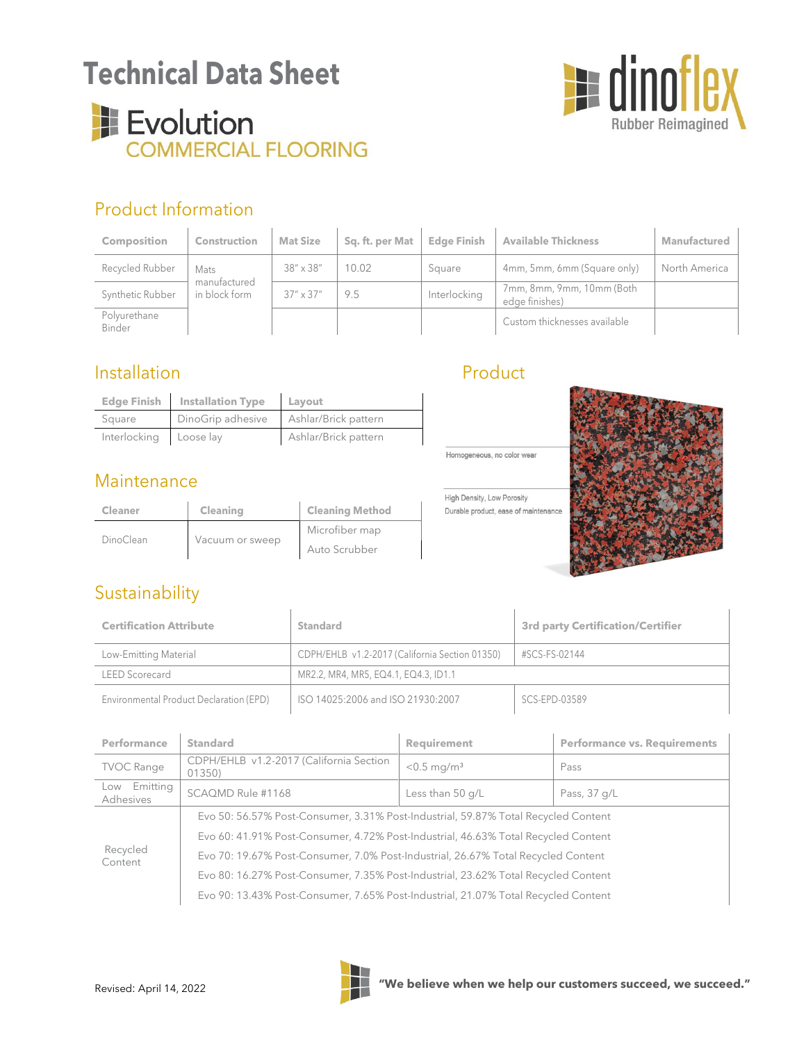# **Technical Data Sheet**





## Product Information

| <b>Composition</b>     | <b>Construction</b>           | <b>Mat Size</b>    | Sq. ft. per Mat | <b>Edge Finish</b> | <b>Available Thickness</b>                  | Manufactured  |
|------------------------|-------------------------------|--------------------|-----------------|--------------------|---------------------------------------------|---------------|
| Recycled Rubber        | Mats                          | $38'' \times 38''$ | 10.02           | Square             | 4mm, 5mm, 6mm (Square only)                 | North America |
| Synthetic Rubber       | manufactured<br>in block form | $37'' \times 37''$ | 9.5             | Interlocking       | 7mm, 8mm, 9mm, 10mm (Both<br>edge finishes) |               |
| Polyurethane<br>Binder |                               |                    |                 |                    | Custom thicknesses available                |               |

### Installation

|                        | Edge Finish Installation Type | Layout               |
|------------------------|-------------------------------|----------------------|
| Square                 | DinoGrip adhesive             | Ashlar/Brick pattern |
| Interlocking Loose lay |                               | Ashlar/Brick pattern |

#### **Maintenance**

| Cleaner          | Cleaning        | <b>Cleaning Method</b> |  |
|------------------|-----------------|------------------------|--|
| <b>DinoClean</b> |                 | Microfiber map         |  |
|                  | Vacuum or sweep | Auto Scrubber          |  |

### Product

Homogeneous, no color wear

High Density, Low Porosity Durable product, ease of maintenance



## Sustainability

| <b>Certification Attribute</b>          | Standard                                       | 3rd party Certification/Certifier |  |
|-----------------------------------------|------------------------------------------------|-----------------------------------|--|
| Low-Emitting Material                   | CDPH/EHLB v1.2-2017 (California Section 01350) | #SCS-FS-02144                     |  |
| <b>LEED Scorecard</b>                   | MR2.2, MR4, MR5, EQ4.1, EQ4.3, ID1.1           |                                   |  |
| Environmental Product Declaration (EPD) | ISO 14025:2006 and ISO 21930:2007              | SCS-EPD-03589                     |  |

| Performance                  | <b>Standard</b>                                                                    | <b>Requirement</b>        | <b>Performance vs. Requirements</b> |  |  |
|------------------------------|------------------------------------------------------------------------------------|---------------------------|-------------------------------------|--|--|
| <b>TVOC Range</b>            | CDPH/EHLB v1.2-2017 (California Section<br>01350)                                  | $< 0.5$ mg/m <sup>3</sup> | Pass                                |  |  |
| Emitting<br>Low<br>Adhesives | SCAQMD Rule #1168                                                                  | Less than 50 g/L          | Pass, 37 g/L                        |  |  |
| Recycled<br>Content          | Evo 50: 56.57% Post-Consumer, 3.31% Post-Industrial, 59.87% Total Recycled Content |                           |                                     |  |  |
|                              | Evo 60: 41.91% Post-Consumer, 4.72% Post-Industrial, 46.63% Total Recycled Content |                           |                                     |  |  |
|                              | Evo 70: 19.67% Post-Consumer, 7.0% Post-Industrial, 26.67% Total Recycled Content  |                           |                                     |  |  |
|                              | Evo 80: 16.27% Post-Consumer, 7.35% Post-Industrial, 23.62% Total Recycled Content |                           |                                     |  |  |
|                              | Evo 90: 13.43% Post-Consumer, 7.65% Post-Industrial, 21.07% Total Recycled Content |                           |                                     |  |  |